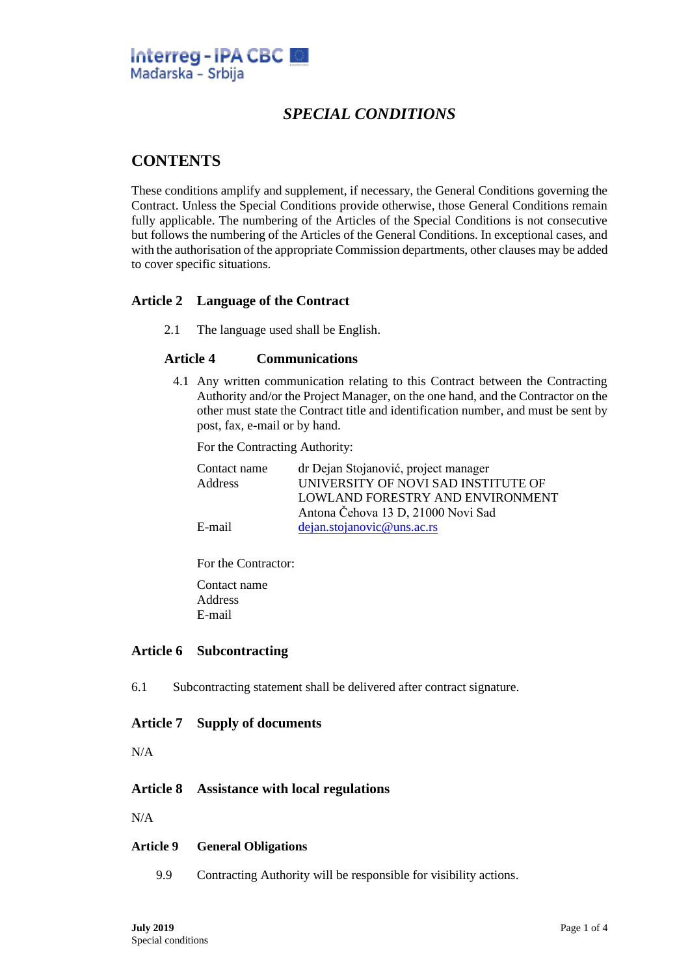

# *SPECIAL CONDITIONS*

## **CONTENTS**

These conditions amplify and supplement, if necessary, the General Conditions governing the Contract. Unless the Special Conditions provide otherwise, those General Conditions remain fully applicable. The numbering of the Articles of the Special Conditions is not consecutive but follows the numbering of the Articles of the General Conditions. In exceptional cases, and with the authorisation of the appropriate Commission departments, other clauses may be added to cover specific situations.

## **Article 2 Language of the Contract**

2.1 The language used shall be English.

## **Article 4 Communications**

4.1 Any written communication relating to this Contract between the Contracting Authority and/or the Project Manager, on the one hand, and the Contractor on the other must state the Contract title and identification number, and must be sent by post, fax, e-mail or by hand.

For the Contracting Authority:

| Contact name | dr Dejan Stojanović, project manager |
|--------------|--------------------------------------|
| Address      | UNIVERSITY OF NOVI SAD INSTITUTE OF  |
|              | LOWLAND FORESTRY AND ENVIRONMENT     |
|              | Antona Čehova 13 D, 21000 Novi Sad   |
| E-mail       | dejan.stojanovic@uns.ac.rs           |

For the Contractor:

Contact name Address E-mail

## **Article 6 Subcontracting**

6.1 Subcontracting statement shall be delivered after contract signature.

#### **Article 7 Supply of documents**

N/A

## **Article 8 Assistance with local regulations**

N/A

#### **Article 9 General Obligations**

9.9 Contracting Authority will be responsible for visibility actions.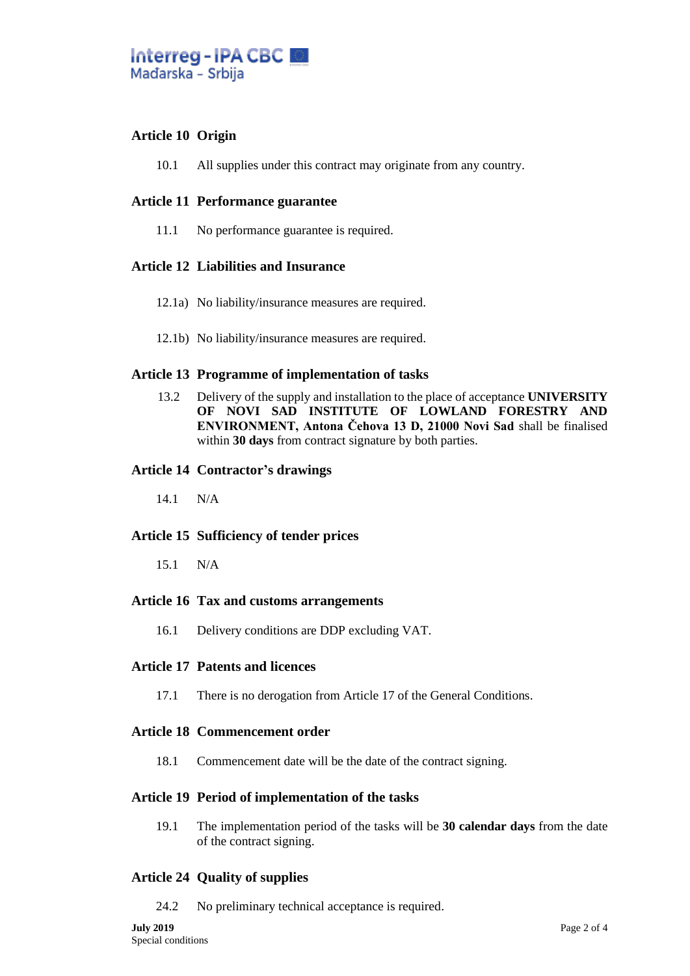

## **Article 10 Origin**

10.1 All supplies under this contract may originate from any country.

## **Article 11 Performance guarantee**

11.1 No performance guarantee is required.

## **Article 12 Liabilities and Insurance**

- 12.1a) No liability/insurance measures are required.
- 12.1b) No liability/insurance measures are required.

#### **Article 13 Programme of implementation of tasks**

13.2 Delivery of the supply and installation to the place of acceptance **UNIVERSITY OF NOVI SAD INSTITUTE OF LOWLAND FORESTRY AND ENVIRONMENT, Antona Čehova 13 D, 21000 Novi Sad** shall be finalised within **30 days** from contract signature by both parties.

#### **Article 14 Contractor's drawings**

14.1 N/A

## **Article 15 Sufficiency of tender prices**

15.1 N/A

#### **Article 16 Tax and customs arrangements**

16.1 Delivery conditions are DDP excluding VAT.

#### **Article 17 Patents and licences**

17.1 There is no derogation from Article 17 of the General Conditions.

#### **Article 18 Commencement order**

18.1 Commencement date will be the date of the contract signing.

#### **Article 19 Period of implementation of the tasks**

19.1 The implementation period of the tasks will be **30 calendar days** from the date of the contract signing.

## **Article 24 Quality of supplies**

24.2 No preliminary technical acceptance is required.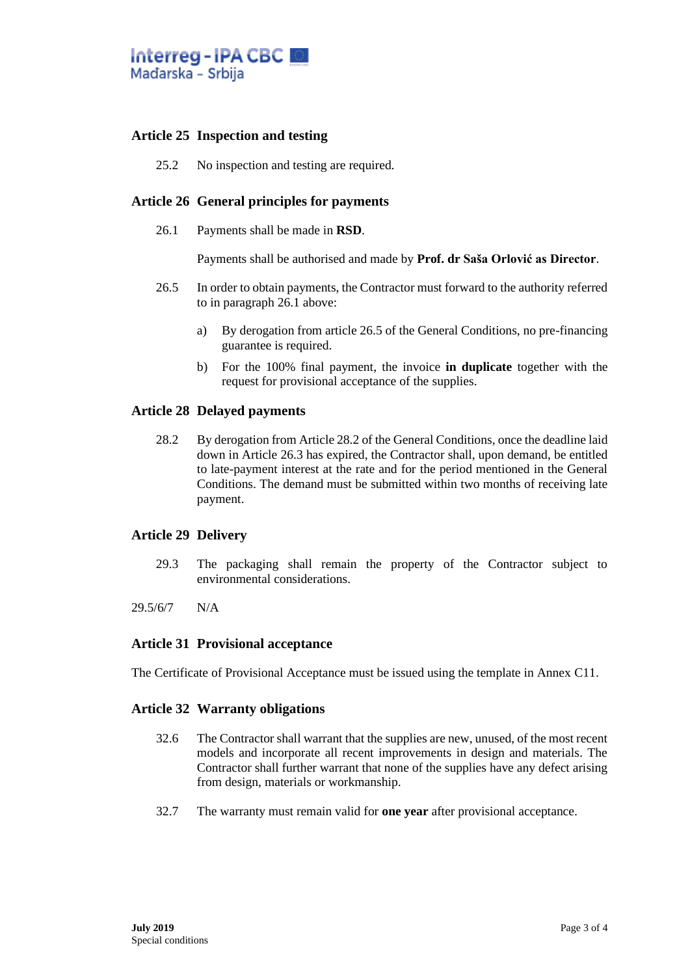

## **Article 25 Inspection and testing**

25.2 No inspection and testing are required.

#### **Article 26 General principles for payments**

26.1 Payments shall be made in **RSD**.

Payments shall be authorised and made by **Prof. dr Saša Orlović as Director**.

- 26.5 In order to obtain payments, the Contractor must forward to the authority referred to in paragraph 26.1 above:
	- a) By derogation from article 26.5 of the General Conditions, no pre-financing guarantee is required.
	- b) For the 100% final payment, the invoice **in duplicate** together with the request for provisional acceptance of the supplies.

#### **Article 28 Delayed payments**

28.2 By derogation from Article 28.2 of the General Conditions, once the deadline laid down in Article 26.3 has expired, the Contractor shall, upon demand, be entitled to late-payment interest at the rate and for the period mentioned in the General Conditions. The demand must be submitted within two months of receiving late payment.

#### **Article 29 Delivery**

- 29.3 The packaging shall remain the property of the Contractor subject to environmental considerations.
- 29.5/6/7 N/A

#### **Article 31 Provisional acceptance**

The Certificate of Provisional Acceptance must be issued using the template in Annex C11.

#### **Article 32 Warranty obligations**

- 32.6 The Contractor shall warrant that the supplies are new, unused, of the most recent models and incorporate all recent improvements in design and materials. The Contractor shall further warrant that none of the supplies have any defect arising from design, materials or workmanship.
- 32.7 The warranty must remain valid for **one year** after provisional acceptance.